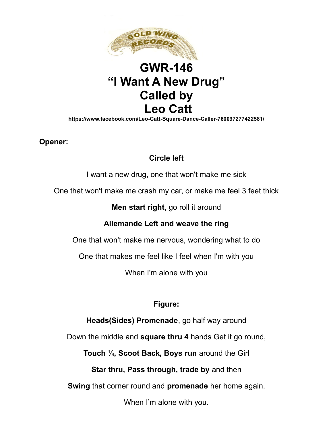

# **GWR-146 "I Want A New Drug" Called by Leo Catt**

**https://www.facebook.com/Leo-Catt-Square-Dance-Caller-760097277422581/**

#### **Opener:**

## **Circle left**

I want a new drug, one that won't make me sick

One that won't make me crash my car, or make me feel 3 feet thick

**Men start right**, go roll it around

#### **Allemande Left and weave the ring**

One that won't make me nervous, wondering what to do

One that makes me feel like I feel when I'm with you

When I'm alone with you

# **Figure:**

**Heads(Sides) Promenade**, go half way around

Down the middle and **square thru 4** hands Get it go round,

**Touch ¼, Scoot Back, Boys run** around the Girl

**Star thru, Pass through, trade by** and then

**Swing** that corner round and **promenade** her home again.

When I'm alone with you.